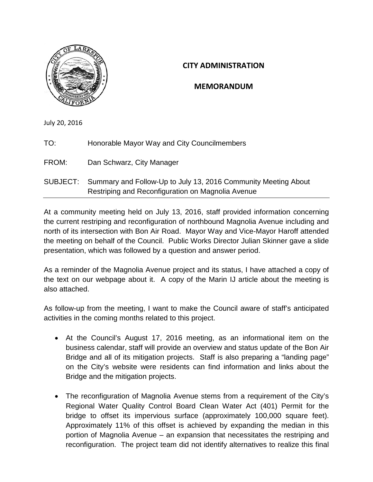

## **CITY ADMINISTRATION**

# **MEMORANDUM**

July 20, 2016

| TO:   | Honorable Mayor Way and City Councilmembers                                                                                  |
|-------|------------------------------------------------------------------------------------------------------------------------------|
| FROM: | Dan Schwarz, City Manager                                                                                                    |
|       | SUBJECT: Summary and Follow-Up to July 13, 2016 Community Meeting About<br>Restriping and Reconfiguration on Magnolia Avenue |

At a community meeting held on July 13, 2016, staff provided information concerning the current restriping and reconfiguration of northbound Magnolia Avenue including and north of its intersection with Bon Air Road. Mayor Way and Vice-Mayor Haroff attended the meeting on behalf of the Council. Public Works Director Julian Skinner gave a slide presentation, which was followed by a question and answer period.

As a reminder of the Magnolia Avenue project and its status, I have attached a copy of the text on our webpage about it. A copy of the Marin IJ article about the meeting is also attached.

As follow-up from the meeting, I want to make the Council aware of staff's anticipated activities in the coming months related to this project.

- At the Council's August 17, 2016 meeting, as an informational item on the business calendar, staff will provide an overview and status update of the Bon Air Bridge and all of its mitigation projects. Staff is also preparing a "landing page" on the City's website were residents can find information and links about the Bridge and the mitigation projects.
- The reconfiguration of Magnolia Avenue stems from a requirement of the City's Regional Water Quality Control Board Clean Water Act (401) Permit for the bridge to offset its impervious surface (approximately 100,000 square feet). Approximately 11% of this offset is achieved by expanding the median in this portion of Magnolia Avenue – an expansion that necessitates the restriping and reconfiguration. The project team did not identify alternatives to realize this final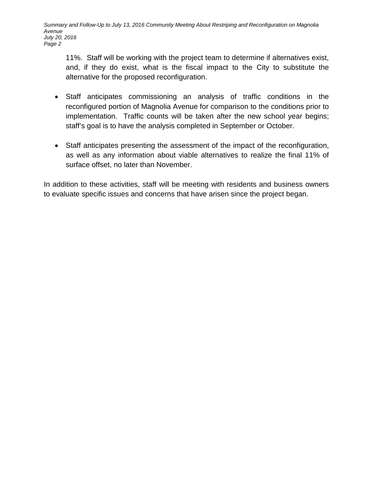11%. Staff will be working with the project team to determine if alternatives exist, and, if they do exist, what is the fiscal impact to the City to substitute the alternative for the proposed reconfiguration.

- Staff anticipates commissioning an analysis of traffic conditions in the reconfigured portion of Magnolia Avenue for comparison to the conditions prior to implementation. Traffic counts will be taken after the new school year begins; staff's goal is to have the analysis completed in September or October.
- Staff anticipates presenting the assessment of the impact of the reconfiguration, as well as any information about viable alternatives to realize the final 11% of surface offset, no later than November.

In addition to these activities, staff will be meeting with residents and business owners to evaluate specific issues and concerns that have arisen since the project began.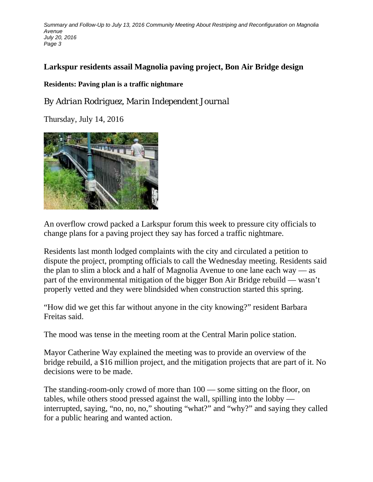*Summary and Follow-Up to July 13, 2016 Community Meeting About Restriping and Reconfiguration on Magnolia Avenue July 20, 2016 Page 3*

# **Larkspur residents assail Magnolia paving project, Bon Air Bridge design**

### **Residents: Paving plan is a traffic nightmare**

*By Adrian Rodriguez, Marin Independent Journal*

Thursday, July 14, 2016



An overflow crowd packed a Larkspur forum this week to pressure city officials to change plans for a paving project they say has forced a traffic nightmare.

Residents last month lodged complaints with the city and circulated a petition to dispute the project, prompting officials to call the Wednesday meeting. Residents said the plan to slim a block and a half of Magnolia Avenue to one lane each way — as part of the environmental mitigation of the bigger Bon Air Bridge rebuild — wasn't properly vetted and they were blindsided when construction started this spring.

"How did we get this far without anyone in the city knowing?" resident Barbara Freitas said.

The mood was tense in the meeting room at the Central Marin police station.

Mayor Catherine Way explained the meeting was to provide an overview of the bridge rebuild, a \$16 million project, and the mitigation projects that are part of it. No decisions were to be made.

The standing-room-only crowd of more than 100 — some sitting on the floor, on tables, while others stood pressed against the wall, spilling into the lobby interrupted, saying, "no, no, no," shouting "what?" and "why?" and saying they called for a public hearing and wanted action.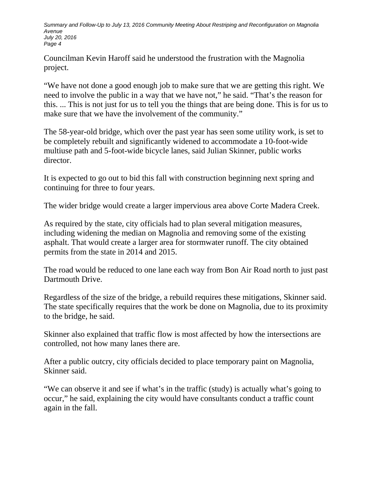*Summary and Follow-Up to July 13, 2016 Community Meeting About Restriping and Reconfiguration on Magnolia Avenue July 20, 2016 Page 4*

Councilman Kevin Haroff said he understood the frustration with the Magnolia project.

"We have not done a good enough job to make sure that we are getting this right. We need to involve the public in a way that we have not," he said. "That's the reason for this. ... This is not just for us to tell you the things that are being done. This is for us to make sure that we have the involvement of the community."

The 58-year-old bridge, which over the past year has seen some utility work, is set to be completely rebuilt and significantly widened to accommodate a 10-foot-wide multiuse path and 5-foot-wide bicycle lanes, said Julian Skinner, public works director.

It is expected to go out to bid this fall with construction beginning next spring and continuing for three to four years.

The wider bridge would create a larger impervious area above Corte Madera Creek.

As required by the state, city officials had to plan several mitigation measures, including widening the median on Magnolia and removing some of the existing asphalt. That would create a larger area for stormwater runoff. The city obtained permits from the state in 2014 and 2015.

The road would be reduced to one lane each way from Bon Air Road north to just past Dartmouth Drive.

Regardless of the size of the bridge, a rebuild requires these mitigations, Skinner said. The state specifically requires that the work be done on Magnolia, due to its proximity to the bridge, he said.

Skinner also explained that traffic flow is most affected by how the intersections are controlled, not how many lanes there are.

After a public outcry, city officials decided to place temporary paint on Magnolia, Skinner said.

"We can observe it and see if what's in the traffic (study) is actually what's going to occur," he said, explaining the city would have consultants conduct a traffic count again in the fall.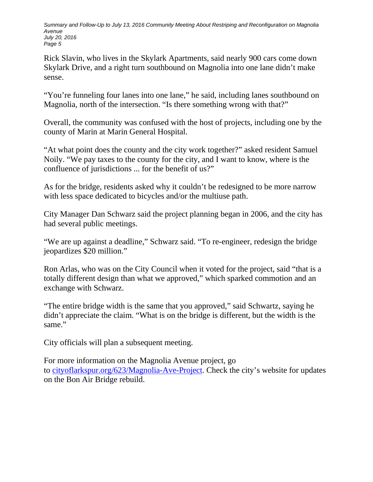*Summary and Follow-Up to July 13, 2016 Community Meeting About Restriping and Reconfiguration on Magnolia Avenue July 20, 2016 Page 5*

Rick Slavin, who lives in the Skylark Apartments, said nearly 900 cars come down Skylark Drive, and a right turn southbound on Magnolia into one lane didn't make sense.

"You're funneling four lanes into one lane," he said, including lanes southbound on Magnolia, north of the intersection. "Is there something wrong with that?"

Overall, the community was confused with the host of projects, including one by the county of Marin at Marin General Hospital.

"At what point does the county and the city work together?" asked resident Samuel Noily. "We pay taxes to the county for the city, and I want to know, where is the confluence of jurisdictions ... for the benefit of us?"

As for the bridge, residents asked why it couldn't be redesigned to be more narrow with less space dedicated to bicycles and/or the multiuse path.

City Manager Dan Schwarz said the project planning began in 2006, and the city has had several public meetings.

"We are up against a deadline," Schwarz said. "To re-engineer, redesign the bridge jeopardizes \$20 million."

Ron Arlas, who was on the City Council when it voted for the project, said "that is a totally different design than what we approved," which sparked commotion and an exchange with Schwarz.

"The entire bridge width is the same that you approved," said Schwartz, saying he didn't appreciate the claim. "What is on the bridge is different, but the width is the same."

City officials will plan a subsequent meeting.

For more information on the Magnolia Avenue project, go to [cityoflarkspur.org/623/Magnolia-Ave-Project.](http://cityoflarkspur.org/623/Magnolia-Ave-Project) Check the city's website for updates on the Bon Air Bridge rebuild.